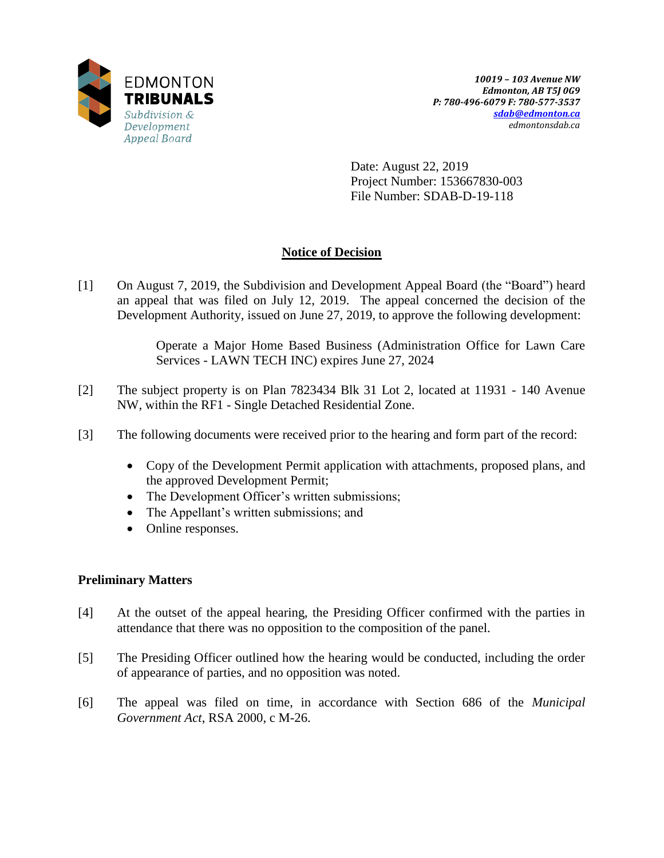

Date: August 22, 2019 Project Number: 153667830-003 File Number: SDAB-D-19-118

### **Notice of Decision**

[1] On August 7, 2019, the Subdivision and Development Appeal Board (the "Board") heard an appeal that was filed on July 12, 2019. The appeal concerned the decision of the Development Authority, issued on June 27, 2019, to approve the following development:

> Operate a Major Home Based Business (Administration Office for Lawn Care Services - LAWN TECH INC) expires June 27, 2024

- [2] The subject property is on Plan 7823434 Blk 31 Lot 2, located at 11931 140 Avenue NW, within the RF1 - Single Detached Residential Zone.
- [3] The following documents were received prior to the hearing and form part of the record:
	- Copy of the Development Permit application with attachments, proposed plans, and the approved Development Permit;
	- The Development Officer's written submissions;
	- The Appellant's written submissions; and
	- Online responses.

### **Preliminary Matters**

- [4] At the outset of the appeal hearing, the Presiding Officer confirmed with the parties in attendance that there was no opposition to the composition of the panel.
- [5] The Presiding Officer outlined how the hearing would be conducted, including the order of appearance of parties, and no opposition was noted.
- [6] The appeal was filed on time, in accordance with Section 686 of the *Municipal Government Act*, RSA 2000, c M-26.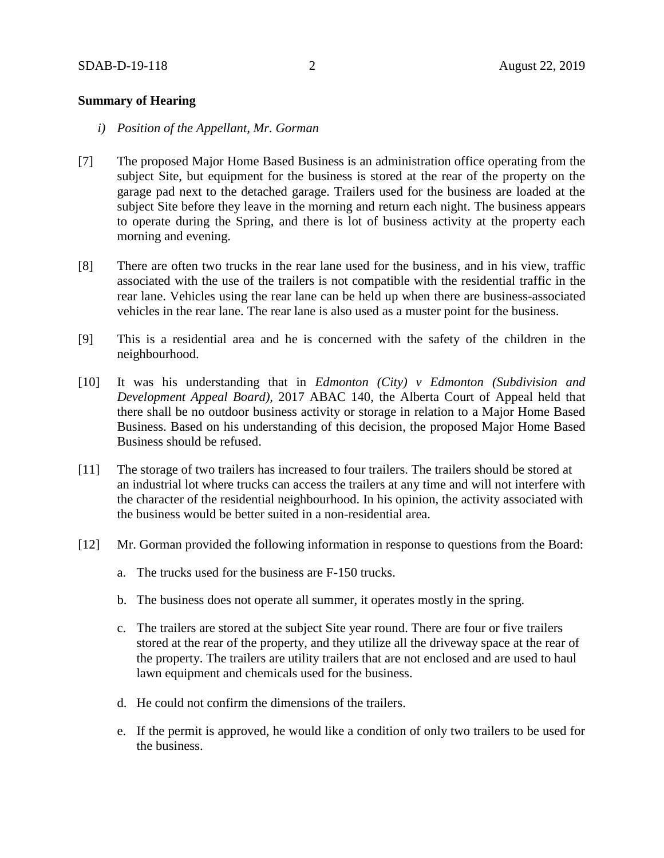#### **Summary of Hearing**

- *i) Position of the Appellant, Mr. Gorman*
- [7] The proposed Major Home Based Business is an administration office operating from the subject Site, but equipment for the business is stored at the rear of the property on the garage pad next to the detached garage. Trailers used for the business are loaded at the subject Site before they leave in the morning and return each night. The business appears to operate during the Spring, and there is lot of business activity at the property each morning and evening.
- [8] There are often two trucks in the rear lane used for the business, and in his view, traffic associated with the use of the trailers is not compatible with the residential traffic in the rear lane. Vehicles using the rear lane can be held up when there are business-associated vehicles in the rear lane. The rear lane is also used as a muster point for the business.
- [9] This is a residential area and he is concerned with the safety of the children in the neighbourhood.
- [10] It was his understanding that in *Edmonton (City) v Edmonton (Subdivision and Development Appeal Board),* 2017 ABAC 140, the Alberta Court of Appeal held that there shall be no outdoor business activity or storage in relation to a Major Home Based Business. Based on his understanding of this decision, the proposed Major Home Based Business should be refused.
- [11] The storage of two trailers has increased to four trailers. The trailers should be stored at an industrial lot where trucks can access the trailers at any time and will not interfere with the character of the residential neighbourhood. In his opinion, the activity associated with the business would be better suited in a non-residential area.
- [12] Mr. Gorman provided the following information in response to questions from the Board:
	- a. The trucks used for the business are F-150 trucks.
	- b. The business does not operate all summer, it operates mostly in the spring.
	- c. The trailers are stored at the subject Site year round. There are four or five trailers stored at the rear of the property, and they utilize all the driveway space at the rear of the property. The trailers are utility trailers that are not enclosed and are used to haul lawn equipment and chemicals used for the business.
	- d. He could not confirm the dimensions of the trailers.
	- e. If the permit is approved, he would like a condition of only two trailers to be used for the business.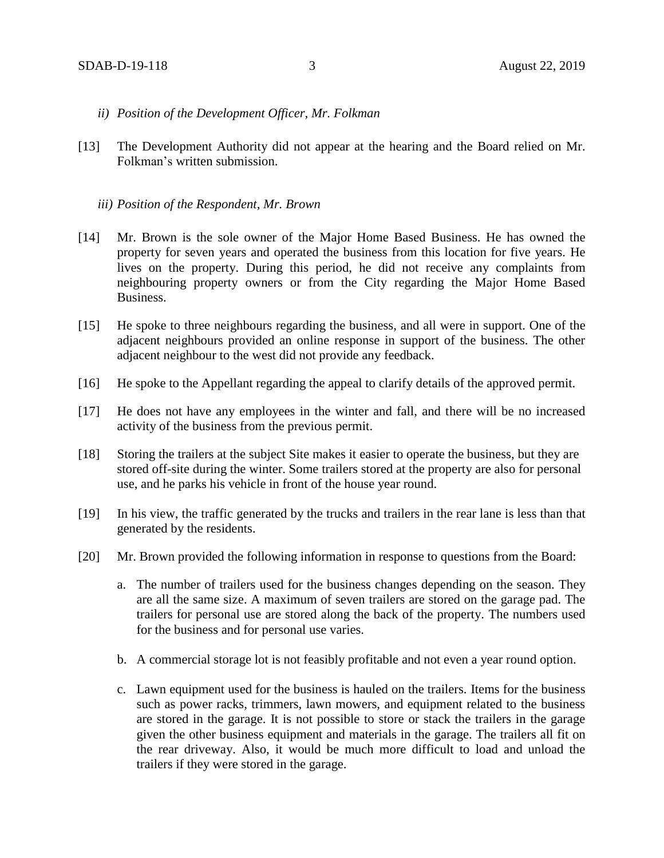- *ii) Position of the Development Officer, Mr. Folkman*
- [13] The Development Authority did not appear at the hearing and the Board relied on Mr. Folkman's written submission.

#### *iii) Position of the Respondent, Mr. Brown*

- [14] Mr. Brown is the sole owner of the Major Home Based Business. He has owned the property for seven years and operated the business from this location for five years. He lives on the property. During this period, he did not receive any complaints from neighbouring property owners or from the City regarding the Major Home Based Business.
- [15] He spoke to three neighbours regarding the business, and all were in support. One of the adjacent neighbours provided an online response in support of the business. The other adjacent neighbour to the west did not provide any feedback.
- [16] He spoke to the Appellant regarding the appeal to clarify details of the approved permit.
- [17] He does not have any employees in the winter and fall, and there will be no increased activity of the business from the previous permit.
- [18] Storing the trailers at the subject Site makes it easier to operate the business, but they are stored off-site during the winter. Some trailers stored at the property are also for personal use, and he parks his vehicle in front of the house year round.
- [19] In his view, the traffic generated by the trucks and trailers in the rear lane is less than that generated by the residents.
- [20] Mr. Brown provided the following information in response to questions from the Board:
	- a. The number of trailers used for the business changes depending on the season. They are all the same size. A maximum of seven trailers are stored on the garage pad. The trailers for personal use are stored along the back of the property. The numbers used for the business and for personal use varies.
	- b. A commercial storage lot is not feasibly profitable and not even a year round option.
	- c. Lawn equipment used for the business is hauled on the trailers. Items for the business such as power racks, trimmers, lawn mowers, and equipment related to the business are stored in the garage. It is not possible to store or stack the trailers in the garage given the other business equipment and materials in the garage. The trailers all fit on the rear driveway. Also, it would be much more difficult to load and unload the trailers if they were stored in the garage.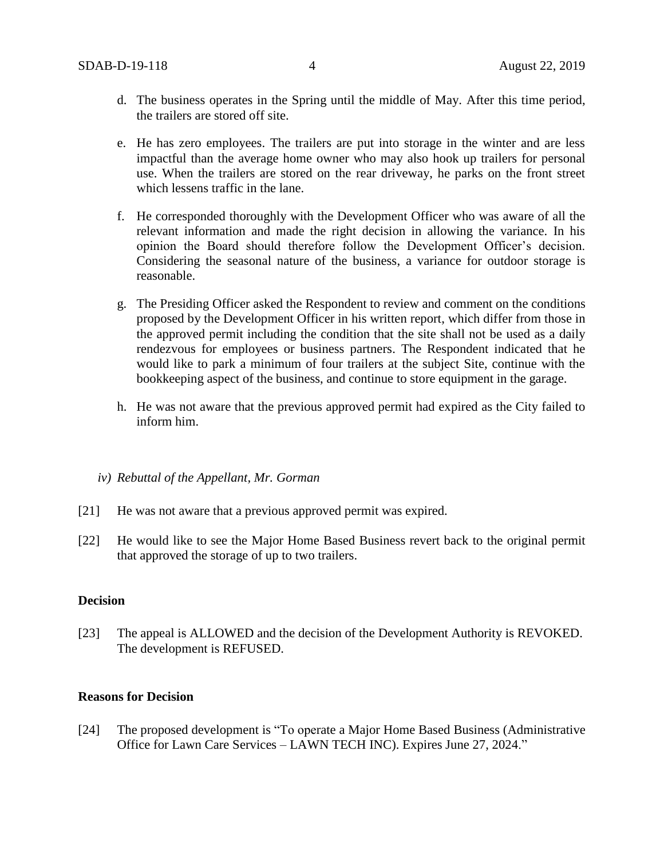- d. The business operates in the Spring until the middle of May. After this time period, the trailers are stored off site.
- e. He has zero employees. The trailers are put into storage in the winter and are less impactful than the average home owner who may also hook up trailers for personal use. When the trailers are stored on the rear driveway, he parks on the front street which lessens traffic in the lane.
- f. He corresponded thoroughly with the Development Officer who was aware of all the relevant information and made the right decision in allowing the variance. In his opinion the Board should therefore follow the Development Officer's decision. Considering the seasonal nature of the business, a variance for outdoor storage is reasonable.
- g. The Presiding Officer asked the Respondent to review and comment on the conditions proposed by the Development Officer in his written report, which differ from those in the approved permit including the condition that the site shall not be used as a daily rendezvous for employees or business partners. The Respondent indicated that he would like to park a minimum of four trailers at the subject Site, continue with the bookkeeping aspect of the business, and continue to store equipment in the garage.
- h. He was not aware that the previous approved permit had expired as the City failed to inform him.
- *iv) Rebuttal of the Appellant, Mr. Gorman*
- [21] He was not aware that a previous approved permit was expired.
- [22] He would like to see the Major Home Based Business revert back to the original permit that approved the storage of up to two trailers.

#### **Decision**

[23] The appeal is ALLOWED and the decision of the Development Authority is REVOKED. The development is REFUSED.

#### **Reasons for Decision**

[24] The proposed development is "To operate a Major Home Based Business (Administrative Office for Lawn Care Services – LAWN TECH INC). Expires June 27, 2024."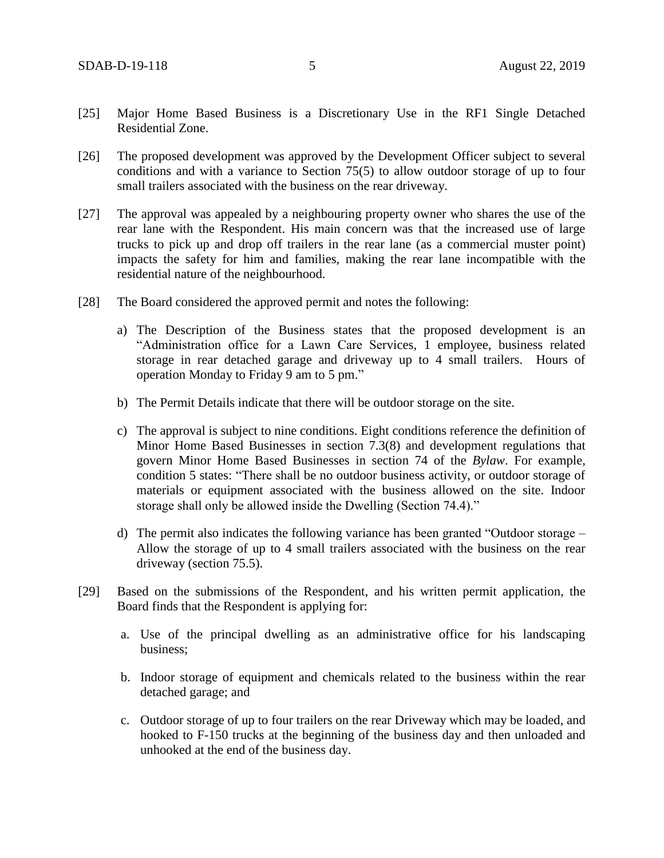- [25] Major Home Based Business is a Discretionary Use in the RF1 Single Detached Residential Zone.
- [26] The proposed development was approved by the Development Officer subject to several conditions and with a variance to Section 75(5) to allow outdoor storage of up to four small trailers associated with the business on the rear driveway.
- [27] The approval was appealed by a neighbouring property owner who shares the use of the rear lane with the Respondent. His main concern was that the increased use of large trucks to pick up and drop off trailers in the rear lane (as a commercial muster point) impacts the safety for him and families, making the rear lane incompatible with the residential nature of the neighbourhood.
- [28] The Board considered the approved permit and notes the following:
	- a) The Description of the Business states that the proposed development is an "Administration office for a Lawn Care Services, 1 employee, business related storage in rear detached garage and driveway up to 4 small trailers. Hours of operation Monday to Friday 9 am to 5 pm."
	- b) The Permit Details indicate that there will be outdoor storage on the site.
	- c) The approval is subject to nine conditions. Eight conditions reference the definition of Minor Home Based Businesses in section 7.3(8) and development regulations that govern Minor Home Based Businesses in section 74 of the *Bylaw*. For example, condition 5 states: "There shall be no outdoor business activity, or outdoor storage of materials or equipment associated with the business allowed on the site. Indoor storage shall only be allowed inside the Dwelling (Section 74.4)."
	- d) The permit also indicates the following variance has been granted "Outdoor storage Allow the storage of up to 4 small trailers associated with the business on the rear driveway (section 75.5).
- [29] Based on the submissions of the Respondent, and his written permit application, the Board finds that the Respondent is applying for:
	- a. Use of the principal dwelling as an administrative office for his landscaping business;
	- b. Indoor storage of equipment and chemicals related to the business within the rear detached garage; and
	- c. Outdoor storage of up to four trailers on the rear Driveway which may be loaded, and hooked to F-150 trucks at the beginning of the business day and then unloaded and unhooked at the end of the business day.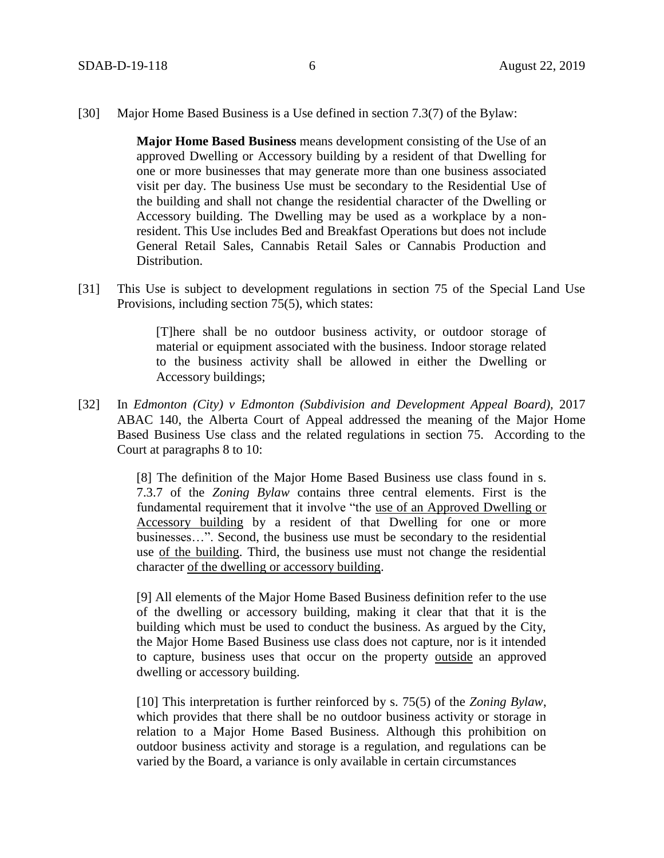[30] Major Home Based Business is a Use defined in section 7.3(7) of the Bylaw:

**Major Home Based Business** means development consisting of the Use of an approved Dwelling or Accessory building by a resident of that Dwelling for one or more businesses that may generate more than one business associated visit per day. The business Use must be secondary to the Residential Use of the building and shall not change the residential character of the Dwelling or Accessory building. The Dwelling may be used as a workplace by a nonresident. This Use includes Bed and Breakfast Operations but does not include General Retail Sales, Cannabis Retail Sales or Cannabis Production and Distribution.

[31] This Use is subject to development regulations in section 75 of the Special Land Use Provisions, including section 75(5), which states:

> [T]here shall be no outdoor business activity, or outdoor storage of material or equipment associated with the business. Indoor storage related to the business activity shall be allowed in either the Dwelling or Accessory buildings;

[32] In *Edmonton (City) v Edmonton (Subdivision and Development Appeal Board),* 2017 ABAC 140, the Alberta Court of Appeal addressed the meaning of the Major Home Based Business Use class and the related regulations in section 75. According to the Court at paragraphs 8 to 10:

> [8] The definition of the Major Home Based Business use class found in s. 7.3.7 of the *Zoning Bylaw* contains three central elements. First is the fundamental requirement that it involve "the use of an Approved Dwelling or Accessory building by a resident of that Dwelling for one or more businesses…". Second, the business use must be secondary to the residential use of the building. Third, the business use must not change the residential character of the dwelling or accessory building.

> [9] All elements of the Major Home Based Business definition refer to the use of the dwelling or accessory building, making it clear that that it is the building which must be used to conduct the business. As argued by the City, the Major Home Based Business use class does not capture, nor is it intended to capture, business uses that occur on the property outside an approved dwelling or accessory building.

> [10] This interpretation is further reinforced by s. 75(5) of the *Zoning Bylaw*, which provides that there shall be no outdoor business activity or storage in relation to a Major Home Based Business. Although this prohibition on outdoor business activity and storage is a regulation, and regulations can be varied by the Board, a variance is only available in certain circumstances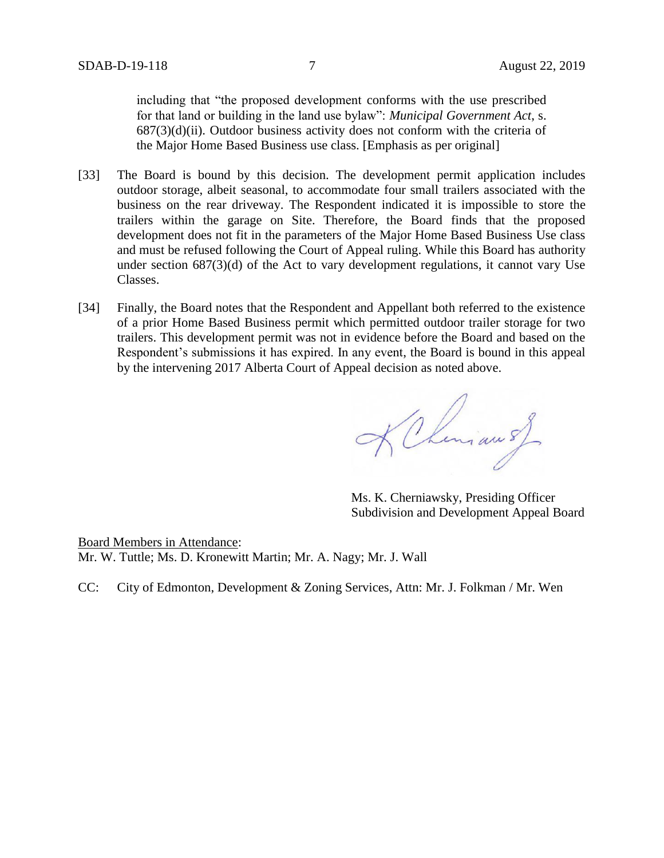including that "the proposed development conforms with the use prescribed for that land or building in the land use bylaw": *Municipal Government Act*, s.  $687(3)(d)(ii)$ . Outdoor business activity does not conform with the criteria of the Major Home Based Business use class. [Emphasis as per original]

- [33] The Board is bound by this decision. The development permit application includes outdoor storage, albeit seasonal, to accommodate four small trailers associated with the business on the rear driveway. The Respondent indicated it is impossible to store the trailers within the garage on Site. Therefore, the Board finds that the proposed development does not fit in the parameters of the Major Home Based Business Use class and must be refused following the Court of Appeal ruling. While this Board has authority under section 687(3)(d) of the Act to vary development regulations, it cannot vary Use Classes.
- [34] Finally, the Board notes that the Respondent and Appellant both referred to the existence of a prior Home Based Business permit which permitted outdoor trailer storage for two trailers. This development permit was not in evidence before the Board and based on the Respondent's submissions it has expired. In any event, the Board is bound in this appeal by the intervening 2017 Alberta Court of Appeal decision as noted above.

KChemian of

Ms. K. Cherniawsky, Presiding Officer Subdivision and Development Appeal Board

Board Members in Attendance: Mr. W. Tuttle; Ms. D. Kronewitt Martin; Mr. A. Nagy; Mr. J. Wall

CC: City of Edmonton, Development & Zoning Services, Attn: Mr. J. Folkman / Mr. Wen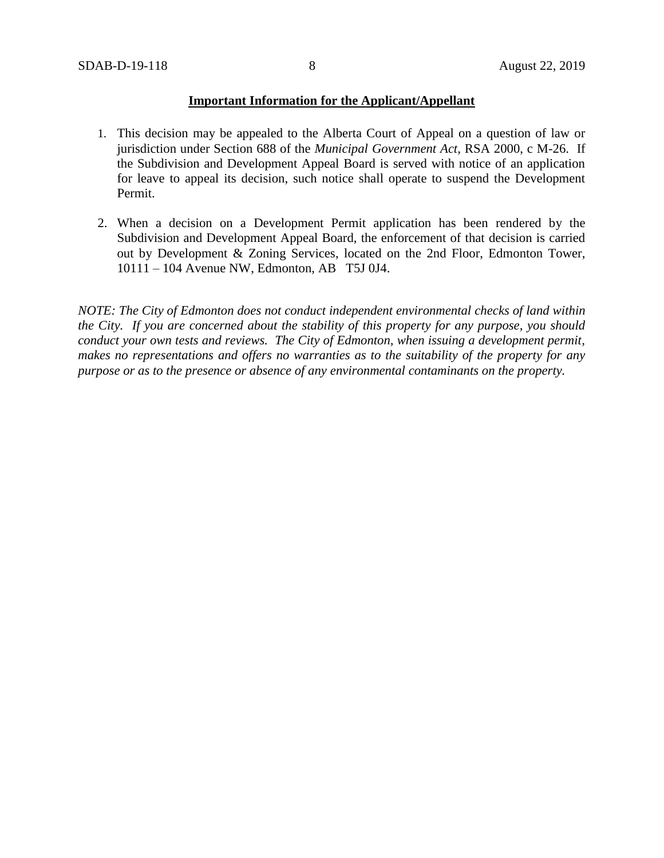#### **Important Information for the Applicant/Appellant**

- 1. This decision may be appealed to the Alberta Court of Appeal on a question of law or jurisdiction under Section 688 of the *Municipal Government Act*, RSA 2000, c M-26. If the Subdivision and Development Appeal Board is served with notice of an application for leave to appeal its decision, such notice shall operate to suspend the Development Permit.
- 2. When a decision on a Development Permit application has been rendered by the Subdivision and Development Appeal Board, the enforcement of that decision is carried out by Development & Zoning Services, located on the 2nd Floor, Edmonton Tower, 10111 – 104 Avenue NW, Edmonton, AB T5J 0J4.

*NOTE: The City of Edmonton does not conduct independent environmental checks of land within the City. If you are concerned about the stability of this property for any purpose, you should conduct your own tests and reviews. The City of Edmonton, when issuing a development permit, makes no representations and offers no warranties as to the suitability of the property for any purpose or as to the presence or absence of any environmental contaminants on the property.*